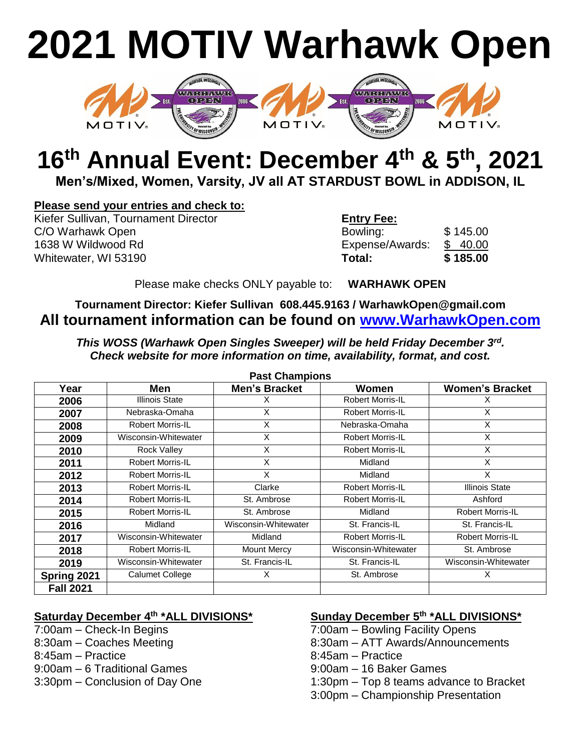# **2021 MOTIV Warhawk Open**



## **16 th Annual Event: December 4th & 5th , 2021**

**Men's/Mixed, Women, Varsity, JV all AT STARDUST BOWL in ADDISON, IL**

#### **Please send your entries and check to:**

**Kiefer Sullivan, Tournament Director** C/O Warhawk Open 1638 W Wildwood Rd **Whitewater, WI 53190** 

| <b>Entry Fee:</b> |          |
|-------------------|----------|
| Bowling:          | \$145.00 |
| Expense/Awards:   | \$40.00  |
| Total:            | \$185.00 |

Please make checks ONLY payable to: **WARHAWK OPEN**

#### **Tournament Director: Kiefer Sullivan 608.445.9163 / WarhawkOpen@gmail.com All tournament information can be found on [www.WarhawkOpen.com](http://www.warhawkopen.com/)**

*This WOSS (Warhawk Open Singles Sweeper) will be held Friday December 3rd . Check website for more information on time, availability, format, and cost.* 

| טווטומווואוט וש  |                         |                      |                         |                         |
|------------------|-------------------------|----------------------|-------------------------|-------------------------|
| Year             | Men                     | <b>Men's Bracket</b> | Women                   | <b>Women's Bracket</b>  |
| 2006             | Illinois State          |                      | <b>Robert Morris-IL</b> |                         |
| 2007             | Nebraska-Omaha          | X                    | Robert Morris-IL        | X                       |
| 2008             | Robert Morris-IL        | X                    | Nebraska-Omaha          | X                       |
| 2009             | Wisconsin-Whitewater    | X                    | <b>Robert Morris-IL</b> | X                       |
| 2010             | Rock Valley             | X                    | <b>Robert Morris-IL</b> | X                       |
| 2011             | <b>Robert Morris-IL</b> | X                    | Midland                 | X                       |
| 2012             | <b>Robert Morris-IL</b> | X                    | Midland                 | X                       |
| 2013             | Robert Morris-IL        | Clarke               | <b>Robert Morris-IL</b> | <b>Illinois State</b>   |
| 2014             | <b>Robert Morris-IL</b> | St. Ambrose          | <b>Robert Morris-IL</b> | Ashford                 |
| 2015             | <b>Robert Morris-IL</b> | St. Ambrose          | Midland                 | <b>Robert Morris-IL</b> |
| 2016             | Midland                 | Wisconsin-Whitewater | St. Francis-IL          | St. Francis-IL          |
| 2017             | Wisconsin-Whitewater    | Midland              | <b>Robert Morris-IL</b> | <b>Robert Morris-IL</b> |
| 2018             | Robert Morris-IL        | Mount Mercy          | Wisconsin-Whitewater    | St. Ambrose             |
| 2019             | Wisconsin-Whitewater    | St. Francis-IL       | St. Francis-IL          | Wisconsin-Whitewater    |
| Spring 2021      | <b>Calumet College</b>  | X                    | St. Ambrose             | X                       |
| <b>Fall 2021</b> |                         |                      |                         |                         |

**Past Champions**

#### **Saturday December 4th \*ALL DIVISIONS\* Sunday December 5th \*ALL DIVISIONS\***

- 
- 
- 
- 
- 

- 7:00am Check-In Begins 7:00am Bowling Facility Opens
- 8:30am Coaches Meeting 8:30am ATT Awards/Announcements
- 8:45am Practice 8:45am Practice
- 9:00am 6 Traditional Games 9:00am 16 Baker Games
- 3:30pm Conclusion of Day One 1:30pm Top 8 teams advance to Bracket
	- 3:00pm Championship Presentation